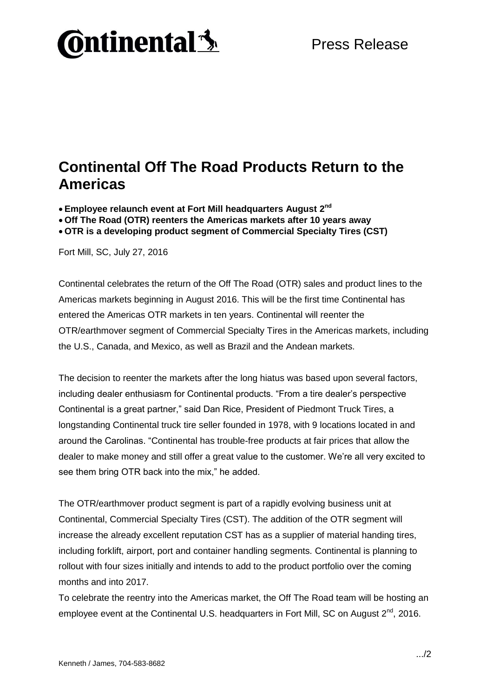## **Ontinental 3**

## **Continental Off The Road Products Return to the Americas**

**Employee relaunch event at Fort Mill headquarters August 2 nd**

 **Off The Road (OTR) reenters the Americas markets after 10 years away OTR is a developing product segment of Commercial Specialty Tires (CST)**

Fort Mill, SC, July 27, 2016

Continental celebrates the return of the Off The Road (OTR) sales and product lines to the Americas markets beginning in August 2016. This will be the first time Continental has entered the Americas OTR markets in ten years. Continental will reenter the OTR/earthmover segment of Commercial Specialty Tires in the Americas markets, including the U.S., Canada, and Mexico, as well as Brazil and the Andean markets.

The decision to reenter the markets after the long hiatus was based upon several factors, including dealer enthusiasm for Continental products. "From a tire dealer's perspective Continental is a great partner," said Dan Rice, President of Piedmont Truck Tires, a longstanding Continental truck tire seller founded in 1978, with 9 locations located in and around the Carolinas. "Continental has trouble-free products at fair prices that allow the dealer to make money and still offer a great value to the customer. We're all very excited to see them bring OTR back into the mix," he added.

The OTR/earthmover product segment is part of a rapidly evolving business unit at Continental, Commercial Specialty Tires (CST). The addition of the OTR segment will increase the already excellent reputation CST has as a supplier of material handing tires, including forklift, airport, port and container handling segments. Continental is planning to rollout with four sizes initially and intends to add to the product portfolio over the coming months and into 2017.

To celebrate the reentry into the Americas market, the Off The Road team will be hosting an employee event at the Continental U.S. headquarters in Fort Mill, SC on August  $2^{nd}$ , 2016.